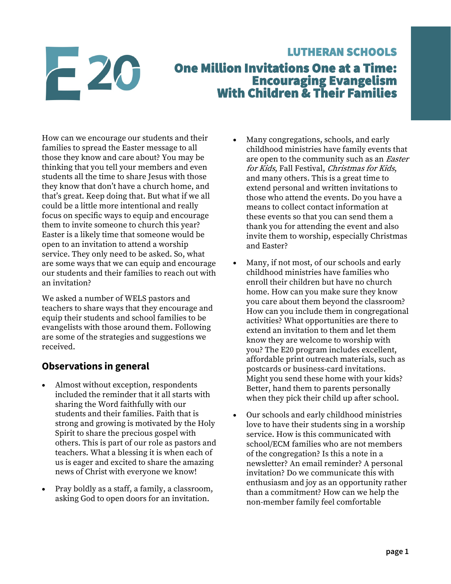# $-20$

# LUTHERAN SCHOOLS One Million Invitations One at a Time: Encouraging Evangelism With Children & Their Families

How can we encourage our students and their families to spread the Easter message to all those they know and care about? You may be thinking that you tell your members and even students all the time to share Jesus with those they know that don't have a church home, and that's great. Keep doing that. But what if we all could be a little more intentional and really focus on specific ways to equip and encourage them to invite someone to church this year? Easter is a likely time that someone would be open to an invitation to attend a worship service. They only need to be asked. So, what are some ways that we can equip and encourage our students and their families to reach out with an invitation?

We asked a number of WELS pastors and teachers to share ways that they encourage and equip their students and school families to be evangelists with those around them. Following are some of the strategies and suggestions we received.

## **Observations in general**

- Almost without exception, respondents included the reminder that it all starts with sharing the Word faithfully with our students and their families. Faith that is strong and growing is motivated by the Holy Spirit to share the precious gospel with others. This is part of our role as pastors and teachers. What a blessing it is when each of us is eager and excited to share the amazing news of Christ with everyone we know!
- Pray boldly as a staff, a family, a classroom, asking God to open doors for an invitation.
- Many congregations, schools, and early childhood ministries have family events that are open to the community such as an *Easter* for Kids, Fall Festival, Christmas for Kids, and many others. This is a great time to extend personal and written invitations to those who attend the events. Do you have a means to collect contact information at these events so that you can send them a thank you for attending the event and also invite them to worship, especially Christmas and Easter?
- Many, if not most, of our schools and early childhood ministries have families who enroll their children but have no church home. How can you make sure they know you care about them beyond the classroom? How can you include them in congregational activities? What opportunities are there to extend an invitation to them and let them know they are welcome to worship with you? The E20 program includes excellent, affordable print outreach materials, such as postcards or business-card invitations. Might you send these home with your kids? Better, hand them to parents personally when they pick their child up after school.
- Our schools and early childhood ministries love to have their students sing in a worship service. How is this communicated with school/ECM families who are not members of the congregation? Is this a note in a newsletter? An email reminder? A personal invitation? Do we communicate this with enthusiasm and joy as an opportunity rather than a commitment? How can we help the non-member family feel comfortable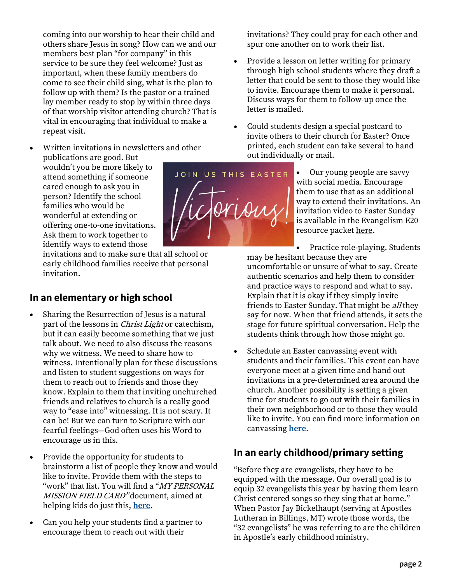coming into our worship to hear their child and others share Jesus in song? How can we and our members best plan "for company" in this service to be sure they feel welcome? Just as important, when these family members do come to see their child sing, what is the plan to follow up with them? Is the pastor or a trained lay member ready to stop by within three days of that worship visitor attending church? That is vital in encouraging that individual to make a repeat visit.

• Written invitations in newsletters and other publications are good. But

wouldn't you be more likely to attend something if someone cared enough to ask you in person? Identify the school families who would be wonderful at extending or offering one-to-one invitations. Ask them to work together to identify ways to extend those

invitations and to make sure that all school or early childhood families receive that personal invitation.

## **In an elementary or high school**

- Sharing the Resurrection of Jesus is a natural part of the lessons in *Christ Light* or catechism, but it can easily become something that we just talk about. We need to also discuss the reasons why we witness. We need to share how to witness. Intentionally plan for these discussions and listen to student suggestions on ways for them to reach out to friends and those they know. Explain to them that inviting unchurched friends and relatives to church is a really good way to "ease into" witnessing. It is not scary. It can be! But we can turn to Scripture with our fearful feelings—God often uses his Word to encourage us in this.
- Provide the opportunity for students to brainstorm a list of people they know and would like to invite. Provide them with the steps to "work" that list. You will find a "MY PERSONAL MISSION FIELD CARD" document, aimed at helping kids do just this, **[here.](https://welscongregationalservices.net/e20/)**
- Can you help your students find a partner to encourage them to reach out with their

invitations? They could pray for each other and spur one another on to work their list.

- Provide a lesson on letter writing for primary through high school students where they draft a letter that could be sent to those they would like to invite. Encourage them to make it personal. Discuss ways for them to follow-up once the letter is mailed.
- Could students design a special postcard to invite others to their church for Easter? Once printed, each student can take several to hand out individually or mail.



• Practice role-playing. Students

may be hesitant because they are uncomfortable or unsure of what to say. Create authentic scenarios and help them to consider and practice ways to respond and what to say. Explain that it is okay if they simply invite friends to Easter Sunday. That might be *all* they say for now. When that friend attends, it sets the stage for future spiritual conversation. Help the students think through how those might go.

• Schedule an Easter canvassing event with students and their families. This event can have everyone meet at a given time and hand out invitations in a pre-determined area around the church. Another possibility is setting a given time for students to go out with their families in their own neighborhood or to those they would like to invite. You can find more information on canvassing **[here](https://welscongregationalservices.net/e20/)**.

## **In an early childhood/primary setting**

"Before they are evangelists, they have to be equipped with the message. Our overall goal is to equip 32 evangelists this year by having them learn Christ centered songs so they sing that at home." When Pastor Jay Bickelhaupt (serving at Apostles Lutheran in Billings, MT) wrote those words, the "32 evangelists" he was referring to are the children in Apostle's early childhood ministry.